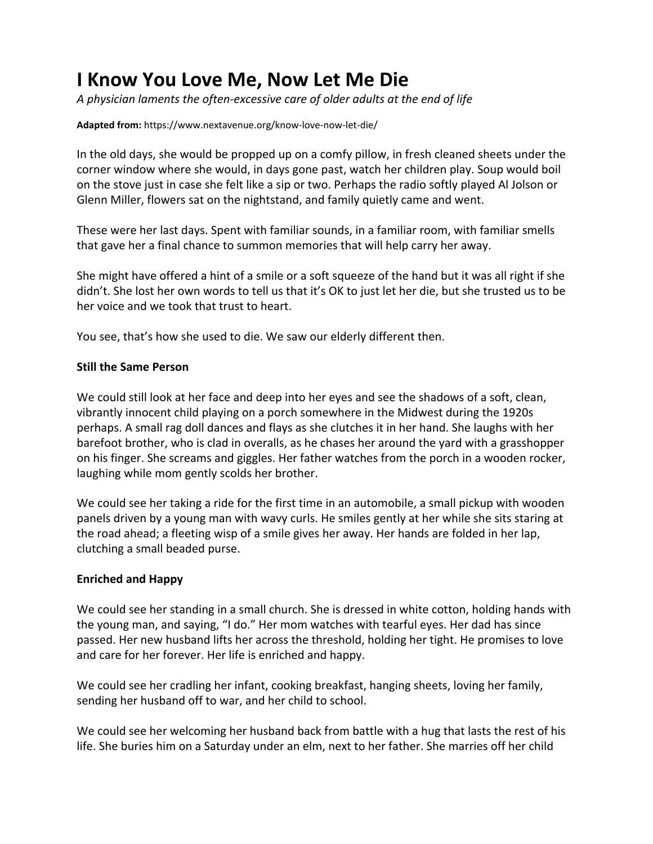# **I Know You Love Me, Now Let Me Die**

*A physician laments the often-excessive care of older adults at the end of life*

#### **Adapted from:** https://www.nextavenue.org/know-love-now-let-die/

In the old days, she would be propped up on a comfy pillow, in fresh cleaned sheets under the corner window where she would, in days gone past, watch her children play. Soup would boil on the stove just in case she felt like a sip or two. Perhaps the radio softly played Al Jolson or Glenn Miller, flowers sat on the nightstand, and family quietly came and went.

These were her last days. Spent with familiar sounds, in a familiar room, with familiar smells that gave her a final chance to summon memories that will help carry her away.

She might have offered a hint of a smile or a soft squeeze of the hand but it was all right if she didn't. She lost her own words to tell us that it's OK to just let her die, but she trusted us to be her voice and we took that trust to heart.

You see, that's how she used to die. We saw our elderly different then.

#### **Still the Same Person**

We could still look at her face and deep into her eyes and see the shadows of a soft, clean, vibrantly innocent child playing on a porch somewhere in the Midwest during the 1920s perhaps. A small rag doll dances and flays as she clutches it in her hand. She laughs with her barefoot brother, who is clad in overalls, as he chases her around the yard with a grasshopper on his finger. She screams and giggles. Her father watches from the porch in a wooden rocker, laughing while mom gently scolds her brother.

We could see her taking a ride for the first time in an automobile, a small pickup with wooden panels driven by a young man with wavy curls. He smiles gently at her while she sits staring at the road ahead; a fleeting wisp of a smile gives her away. Her hands are folded in her lap, clutching a small beaded purse.

#### **Enriched and Happy**

We could see her standing in a small church. She is dressed in white cotton, holding hands with the young man, and saying, "I do." Her mom watches with tearful eyes. Her dad has since passed. Her new husband lifts her across the threshold, holding her tight. He promises to love and care for her forever. Her life is enriched and happy.

We could see her cradling her infant, cooking breakfast, hanging sheets, loving her family, sending her husband off to war, and her child to school.

We could see her welcoming her husband back from battle with a hug that lasts the rest of his life. She buries him on a Saturday under an elm, next to her father. She marries off her child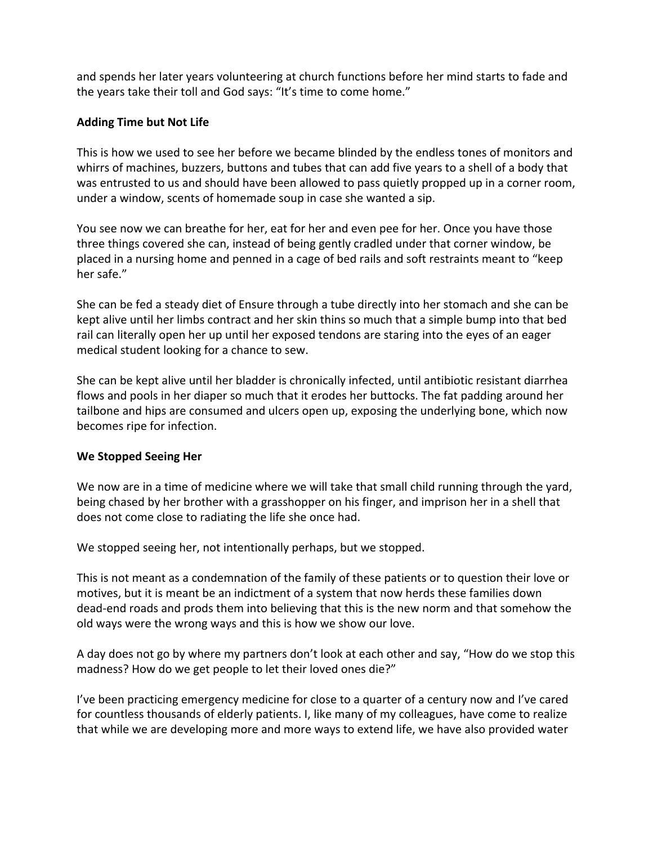and spends her later years volunteering at church functions before her mind starts to fade and the years take their toll and God says: "It's time to come home."

## **Adding Time but Not Life**

This is how we used to see her before we became blinded by the endless tones of monitors and whirrs of machines, buzzers, buttons and tubes that can add five years to a shell of a body that was entrusted to us and should have been allowed to pass quietly propped up in a corner room, under a window, scents of homemade soup in case she wanted a sip.

You see now we can breathe for her, eat for her and even pee for her. Once you have those three things covered she can, instead of being gently cradled under that corner window, be placed in a nursing home and penned in a cage of bed rails and soft restraints meant to "keep her safe."

She can be fed a steady diet of Ensure through a tube directly into her stomach and she can be kept alive until her limbs contract and her skin thins so much that a simple bump into that bed rail can literally open her up until her exposed tendons are staring into the eyes of an eager medical student looking for a chance to sew.

She can be kept alive until her bladder is chronically infected, until antibiotic resistant diarrhea flows and pools in her diaper so much that it erodes her buttocks. The fat padding around her tailbone and hips are consumed and ulcers open up, exposing the underlying bone, which now becomes ripe for infection.

## **We Stopped Seeing Her**

We now are in a time of medicine where we will take that small child running through the yard, being chased by her brother with a grasshopper on his finger, and imprison her in a shell that does not come close to radiating the life she once had.

We stopped seeing her, not intentionally perhaps, but we stopped.

This is not meant as a condemnation of the family of these patients or to question their love or motives, but it is meant be an indictment of a system that now herds these families down dead-end roads and prods them into believing that this is the new norm and that somehow the old ways were the wrong ways and this is how we show our love.

A day does not go by where my partners don't look at each other and say, "How do we stop this madness? How do we get people to let their loved ones die?"

I've been practicing emergency medicine for close to a quarter of a century now and I've cared for countless thousands of elderly patients. I, like many of my colleagues, have come to realize that while we are developing more and more ways to extend life, we have also provided water